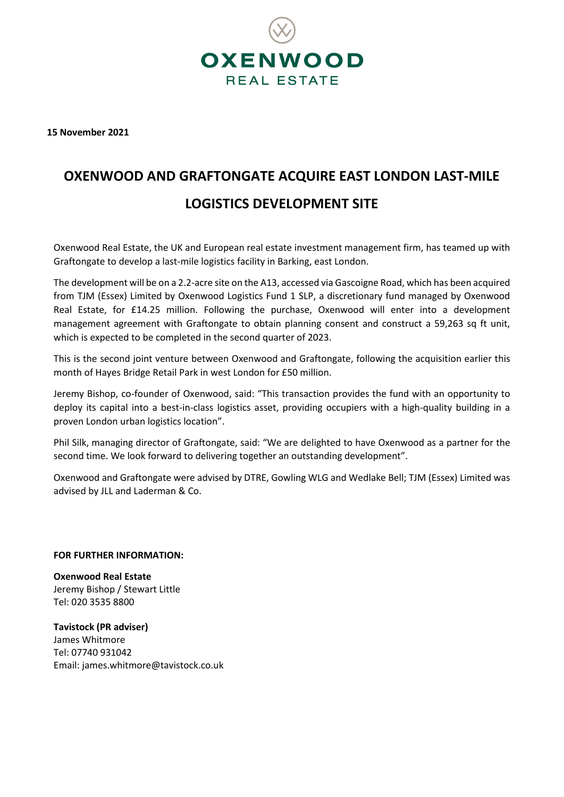

**15 November 2021**

## **OXENWOOD AND GRAFTONGATE ACQUIRE EAST LONDON LAST-MILE LOGISTICS DEVELOPMENT SITE**

Oxenwood Real Estate, the UK and European real estate investment management firm, has teamed up with Graftongate to develop a last-mile logistics facility in Barking, east London.

The development will be on a 2.2-acre site on the A13, accessed via Gascoigne Road, which has been acquired from TJM (Essex) Limited by Oxenwood Logistics Fund 1 SLP, a discretionary fund managed by Oxenwood Real Estate, for £14.25 million. Following the purchase, Oxenwood will enter into a development management agreement with Graftongate to obtain planning consent and construct a 59,263 sq ft unit, which is expected to be completed in the second quarter of 2023.

This is the second joint venture between Oxenwood and Graftongate, following the acquisition earlier this month of Hayes Bridge Retail Park in west London for £50 million.

Jeremy Bishop, co-founder of Oxenwood, said: "This transaction provides the fund with an opportunity to deploy its capital into a best-in-class logistics asset, providing occupiers with a high-quality building in a proven London urban logistics location".

Phil Silk, managing director of Graftongate, said: "We are delighted to have Oxenwood as a partner for the second time. We look forward to delivering together an outstanding development".

Oxenwood and Graftongate were advised by DTRE, Gowling WLG and Wedlake Bell; TJM (Essex) Limited was advised by JLL and Laderman & Co.

## **FOR FURTHER INFORMATION:**

**Oxenwood Real Estate** Jeremy Bishop / Stewart Little Tel: 020 3535 8800

**Tavistock (PR adviser)** James Whitmore Tel: 07740 931042 Email[: james.whitmore@tavistock.co.uk](mailto:james.whitmore@tavistock.co.uk)